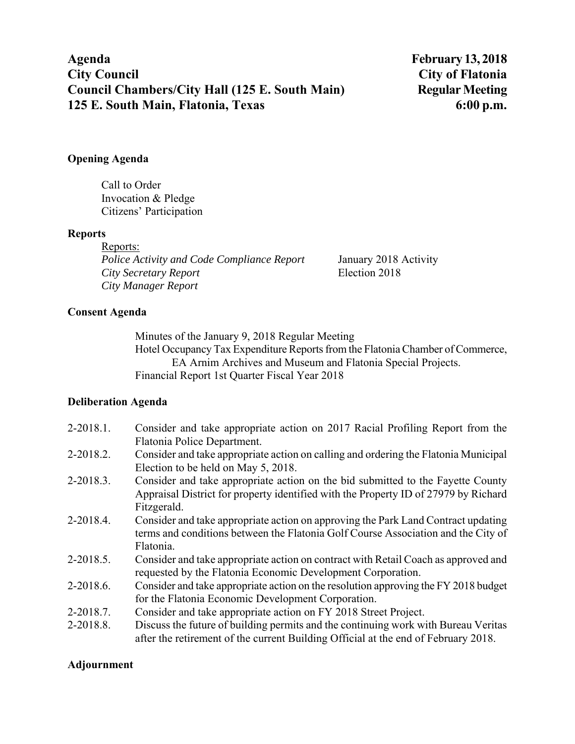### **Opening Agenda**

Call to Order Invocation & Pledge Citizens' Participation

### **Reports**

Reports: *Police Activity and Code Compliance Report* January 2018 Activity *City Secretary Report* Election 2018 *City Manager Report*

## **Consent Agenda**

Minutes of the January 9, 2018 Regular Meeting Hotel Occupancy Tax Expenditure Reports from the Flatonia Chamber of Commerce, EA Arnim Archives and Museum and Flatonia Special Projects. Financial Report 1st Quarter Fiscal Year 2018

# **Deliberation Agenda**

| 2-2018.1.      | Consider and take appropriate action on 2017 Racial Profiling Report from the       |
|----------------|-------------------------------------------------------------------------------------|
|                | Flatonia Police Department.                                                         |
| $2 - 2018.2$ . | Consider and take appropriate action on calling and ordering the Flatonia Municipal |
|                | Election to be held on May 5, 2018.                                                 |
| $2 - 2018.3$ . | Consider and take appropriate action on the bid submitted to the Fayette County     |
|                | Appraisal District for property identified with the Property ID of 27979 by Richard |
|                | Fitzgerald.                                                                         |
| 2-2018.4.      | Consider and take appropriate action on approving the Park Land Contract updating   |
|                | terms and conditions between the Flatonia Golf Course Association and the City of   |
|                | Flatonia.                                                                           |
| $2 - 2018.5$ . | Consider and take appropriate action on contract with Retail Coach as approved and  |
|                | requested by the Flatonia Economic Development Corporation.                         |
| 2-2018.6.      | Consider and take appropriate action on the resolution approving the FY 2018 budget |
|                | for the Flatonia Economic Development Corporation.                                  |
|                |                                                                                     |
| $2 - 2018.7$ . | Consider and take appropriate action on FY 2018 Street Project.                     |
| 2-2018.8.      | Discuss the future of building permits and the continuing work with Bureau Veritas  |
|                | after the retirement of the current Building Official at the end of February 2018.  |

# **Adjournment**